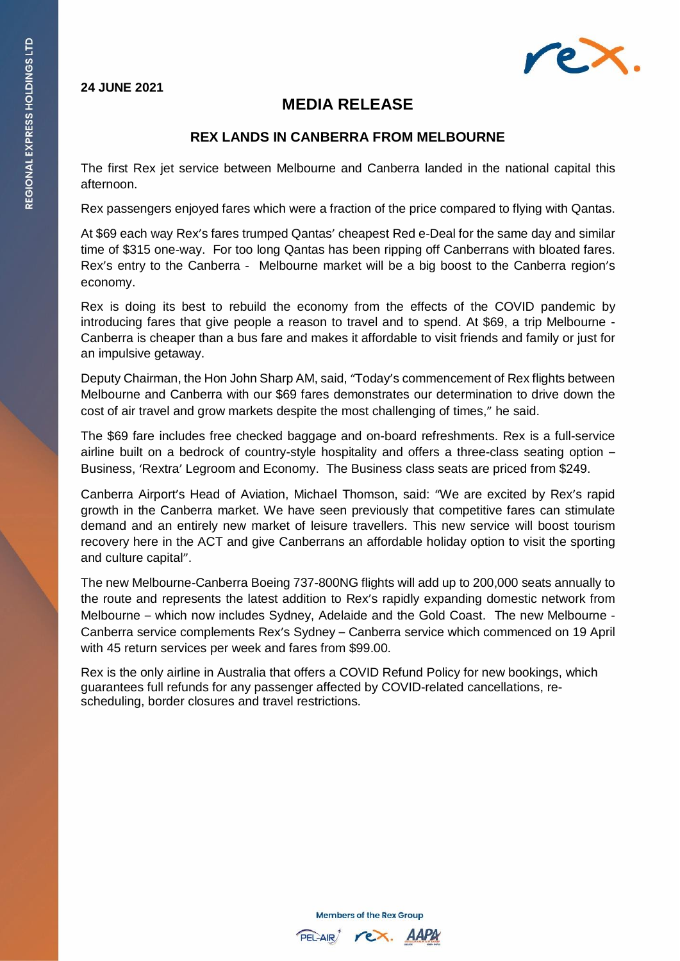## **24 JUNE 2021**



## **MEDIA RELEASE**

## **REX LANDS IN CANBERRA FROM MELBOURNE**

The first Rex jet service between Melbourne and Canberra landed in the national capital this afternoon.

Rex passengers enjoyed fares which were a fraction of the price compared to flying with Qantas.

At \$69 each way Rex's fares trumped Qantas' cheapest Red e-Deal for the same day and similar time of \$315 one-way. For too long Qantas has been ripping off Canberrans with bloated fares. Rex's entry to the Canberra - Melbourne market will be a big boost to the Canberra region's economy.

Rex is doing its best to rebuild the economy from the effects of the COVID pandemic by introducing fares that give people a reason to travel and to spend. At \$69, a trip Melbourne - Canberra is cheaper than a bus fare and makes it affordable to visit friends and family or just for an impulsive getaway.

Deputy Chairman, the Hon John Sharp AM, said, "Today's commencement of Rex flights between Melbourne and Canberra with our \$69 fares demonstrates our determination to drive down the cost of air travel and grow markets despite the most challenging of times," he said.

The \$69 fare includes free checked baggage and on-board refreshments. Rex is a full-service airline built on a bedrock of country-style hospitality and offers a three-class seating option – Business, 'Rextra' Legroom and Economy. The Business class seats are priced from \$249.

Canberra Airport's Head of Aviation, Michael Thomson, said: "We are excited by Rex's rapid growth in the Canberra market. We have seen previously that competitive fares can stimulate demand and an entirely new market of leisure travellers. This new service will boost tourism recovery here in the ACT and give Canberrans an affordable holiday option to visit the sporting and culture capital".

The new Melbourne-Canberra Boeing 737-800NG flights will add up to 200,000 seats annually to the route and represents the latest addition to Rex's rapidly expanding domestic network from Melbourne – which now includes Sydney, Adelaide and the Gold Coast. The new Melbourne - Canberra service complements Rex's Sydney – Canberra service which commenced on 19 April with 45 return services per week and fares from \$99.00.

Rex is the only airline in Australia that offers a COVID Refund Policy for new bookings, which guarantees full refunds for any passenger affected by COVID-related cancellations, rescheduling, border closures and travel restrictions.

**Members of the Rex Group**